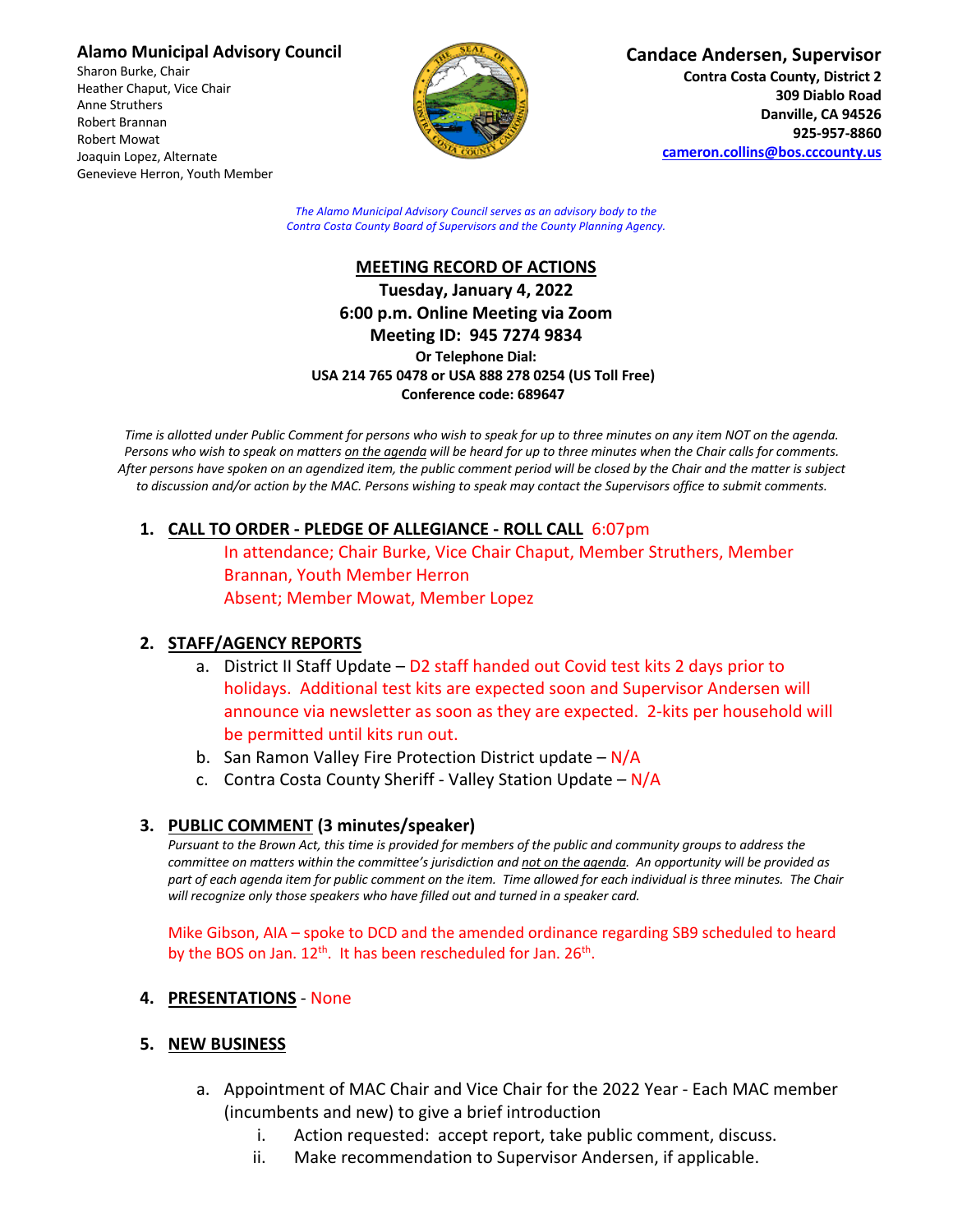### **Alamo Municipal Advisory Council**

Sharon Burke, Chair Heather Chaput, Vice Chair Anne Struthers Robert Brannan Robert Mowat Joaquin Lopez, Alternate Genevieve Herron, Youth Member



**Candace Andersen, Supervisor Contra Costa County, District 2 309 Diablo Road Danville, CA 94526 925-957-8860**

**cameron.collins@bos.cccounty.us**

*The Alamo Municipal Advisory Council serves as an advisory body to the Contra Costa County Board of Supervisors and the County Planning Agency.*

## **MEETING RECORD OF ACTIONS Tuesday, January 4, 2022 6:00 p.m. Online Meeting via Zoom Meeting ID: 945 7274 9834 Or Telephone Dial: USA 214 765 0478 or USA 888 278 0254 (US Toll Free) Conference code: 689647**

*Time is allotted under Public Comment for persons who wish to speak for up to three minutes on any item NOT on the agenda. Persons who wish to speak on matters on the agenda will be heard for up to three minutes when the Chair calls for comments. After persons have spoken on an agendized item, the public comment period will be closed by the Chair and the matter is subject to discussion and/or action by the MAC. Persons wishing to speak may contact the Supervisors office to submit comments.*

# **1. CALL TO ORDER - PLEDGE OF ALLEGIANCE - ROLL CALL** 6:07pm

In attendance; Chair Burke, Vice Chair Chaput, Member Struthers, Member Brannan, Youth Member Herron Absent; Member Mowat, Member Lopez

# **2. STAFF/AGENCY REPORTS**

- a. District II Staff Update D2 staff handed out Covid test kits 2 days prior to holidays. Additional test kits are expected soon and Supervisor Andersen will announce via newsletter as soon as they are expected. 2-kits per household will be permitted until kits run out.
- b. San Ramon Valley Fire Protection District update  $-N/A$
- c. Contra Costa County Sheriff Valley Station Update  $-N/A$

### **3. PUBLIC COMMENT (3 minutes/speaker)**

*Pursuant to the Brown Act, this time is provided for members of the public and community groups to address the committee on matters within the committee's jurisdiction and not on the agenda. An opportunity will be provided as*  part of each agenda item for public comment on the item. Time allowed for each individual is three minutes. The Chair *will recognize only those speakers who have filled out and turned in a speaker card.*

Mike Gibson, AIA – spoke to DCD and the amended ordinance regarding SB9 scheduled to heard by the BOS on Jan.  $12^{th}$ . It has been rescheduled for Jan.  $26^{th}$ .

**4. PRESENTATIONS** - None

### **5. NEW BUSINESS**

- a. Appointment of MAC Chair and Vice Chair for the 2022 Year Each MAC member (incumbents and new) to give a brief introduction
	- i. Action requested: accept report, take public comment, discuss.
	- ii. Make recommendation to Supervisor Andersen, if applicable.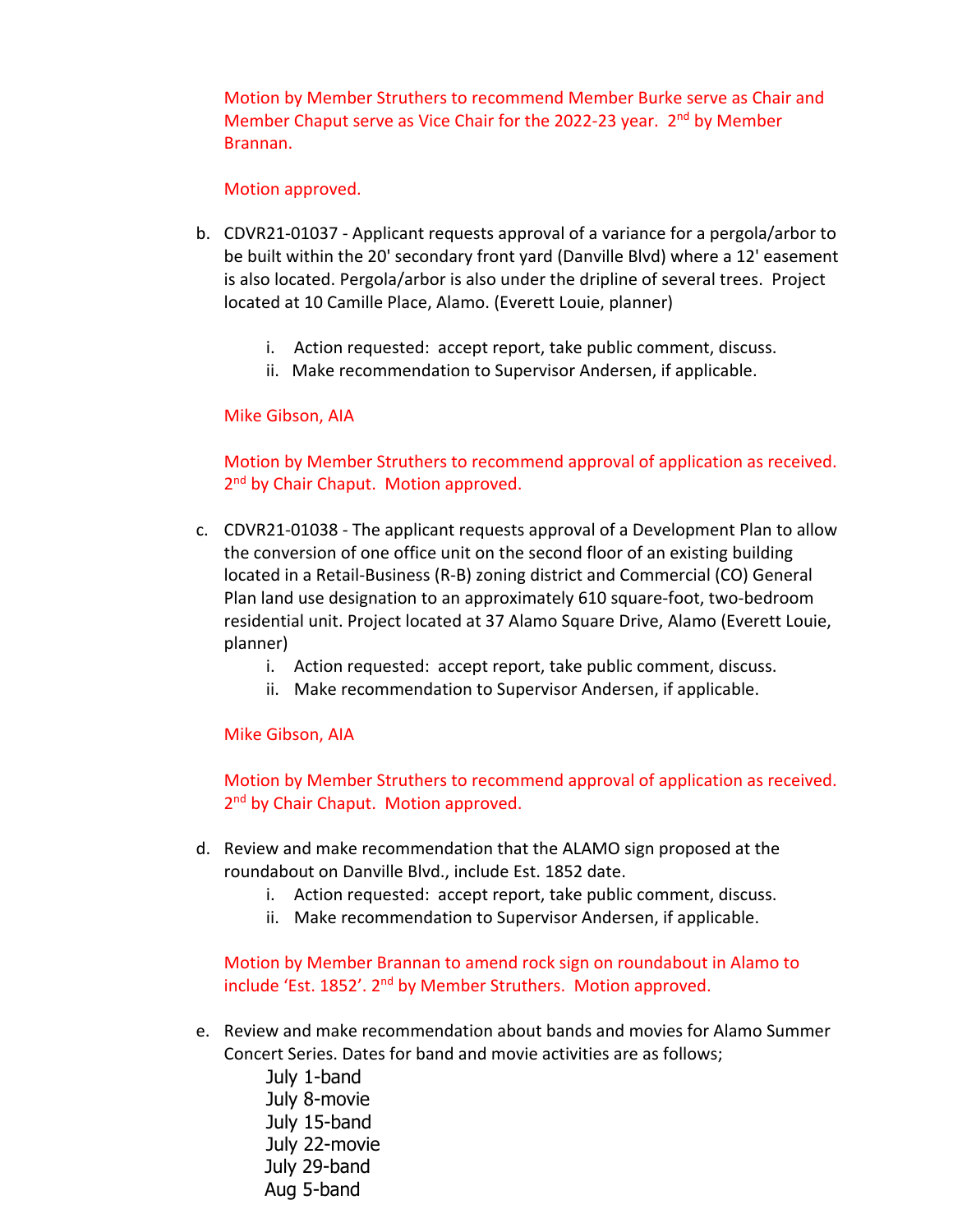Motion by Member Struthers to recommend Member Burke serve as Chair and Member Chaput serve as Vice Chair for the 2022-23 year. 2<sup>nd</sup> by Member Brannan.

#### Motion approved.

- b. CDVR21-01037 Applicant requests approval of a variance for a pergola/arbor to be built within the 20' secondary front yard (Danville Blvd) where a 12' easement is also located. Pergola/arbor is also under the dripline of several trees. Project located at 10 Camille Place, Alamo. (Everett Louie, planner)
	- i. Action requested: accept report, take public comment, discuss.
	- ii. Make recommendation to Supervisor Andersen, if applicable.

### Mike Gibson, AIA

Motion by Member Struthers to recommend approval of application as received. 2<sup>nd</sup> by Chair Chaput. Motion approved.

- c. CDVR21-01038 The applicant requests approval of a Development Plan to allow the conversion of one office unit on the second floor of an existing building located in a Retail-Business (R-B) zoning district and Commercial (CO) General Plan land use designation to an approximately 610 square-foot, two-bedroom residential unit. Project located at 37 Alamo Square Drive, Alamo (Everett Louie, planner)
	- i. Action requested: accept report, take public comment, discuss.
	- ii. Make recommendation to Supervisor Andersen, if applicable.

Mike Gibson, AIA

Motion by Member Struthers to recommend approval of application as received. 2<sup>nd</sup> by Chair Chaput. Motion approved.

- d. Review and make recommendation that the ALAMO sign proposed at the roundabout on Danville Blvd., include Est. 1852 date.
	- i. Action requested: accept report, take public comment, discuss.
	- ii. Make recommendation to Supervisor Andersen, if applicable.

Motion by Member Brannan to amend rock sign on roundabout in Alamo to include 'Est. 1852'. 2<sup>nd</sup> by Member Struthers. Motion approved.

e. Review and make recommendation about bands and movies for Alamo Summer Concert Series. Dates for band and movie activities are as follows;

July 1-band July 8-movie July 15-band July 22-movie July 29-band Aug 5-band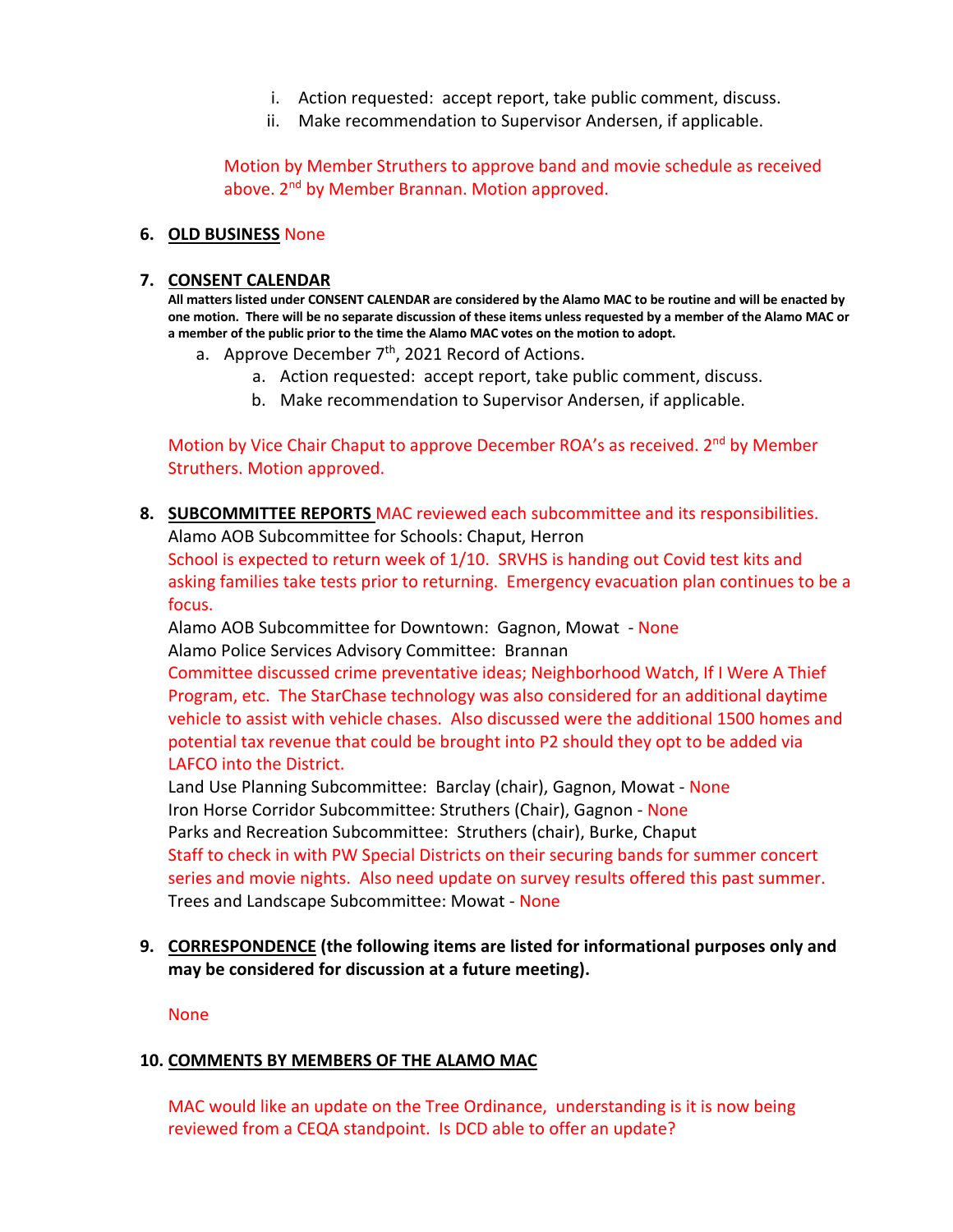- i. Action requested: accept report, take public comment, discuss.
- ii. Make recommendation to Supervisor Andersen, if applicable.

Motion by Member Struthers to approve band and movie schedule as received above. 2<sup>nd</sup> by Member Brannan. Motion approved.

### **6. OLD BUSINESS** None

#### **7. CONSENT CALENDAR**

**All matters listed under CONSENT CALENDAR are considered by the Alamo MAC to be routine and will be enacted by one motion. There will be no separate discussion of these items unless requested by a member of the Alamo MAC or a member of the public prior to the time the Alamo MAC votes on the motion to adopt.**

- a. Approve December  $7<sup>th</sup>$ , 2021 Record of Actions.
	- a. Action requested: accept report, take public comment, discuss.
	- b. Make recommendation to Supervisor Andersen, if applicable.

Motion by Vice Chair Chaput to approve December ROA's as received. 2<sup>nd</sup> by Member Struthers. Motion approved.

**8. SUBCOMMITTEE REPORTS** MAC reviewed each subcommittee and its responsibilities. Alamo AOB Subcommittee for Schools: Chaput, Herron

School is expected to return week of 1/10. SRVHS is handing out Covid test kits and asking families take tests prior to returning. Emergency evacuation plan continues to be a focus.

Alamo AOB Subcommittee for Downtown: Gagnon, Mowat - None Alamo Police Services Advisory Committee: Brannan

Committee discussed crime preventative ideas; Neighborhood Watch, If I Were A Thief Program, etc. The StarChase technology was also considered for an additional daytime vehicle to assist with vehicle chases. Also discussed were the additional 1500 homes and potential tax revenue that could be brought into P2 should they opt to be added via LAFCO into the District.

Land Use Planning Subcommittee: Barclay (chair), Gagnon, Mowat - None Iron Horse Corridor Subcommittee: Struthers (Chair), Gagnon - None Parks and Recreation Subcommittee: Struthers (chair), Burke, Chaput Staff to check in with PW Special Districts on their securing bands for summer concert series and movie nights. Also need update on survey results offered this past summer. Trees and Landscape Subcommittee: Mowat - None

**9. CORRESPONDENCE (the following items are listed for informational purposes only and may be considered for discussion at a future meeting).**

None

### **10. COMMENTS BY MEMBERS OF THE ALAMO MAC**

MAC would like an update on the Tree Ordinance, understanding is it is now being reviewed from a CEQA standpoint. Is DCD able to offer an update?